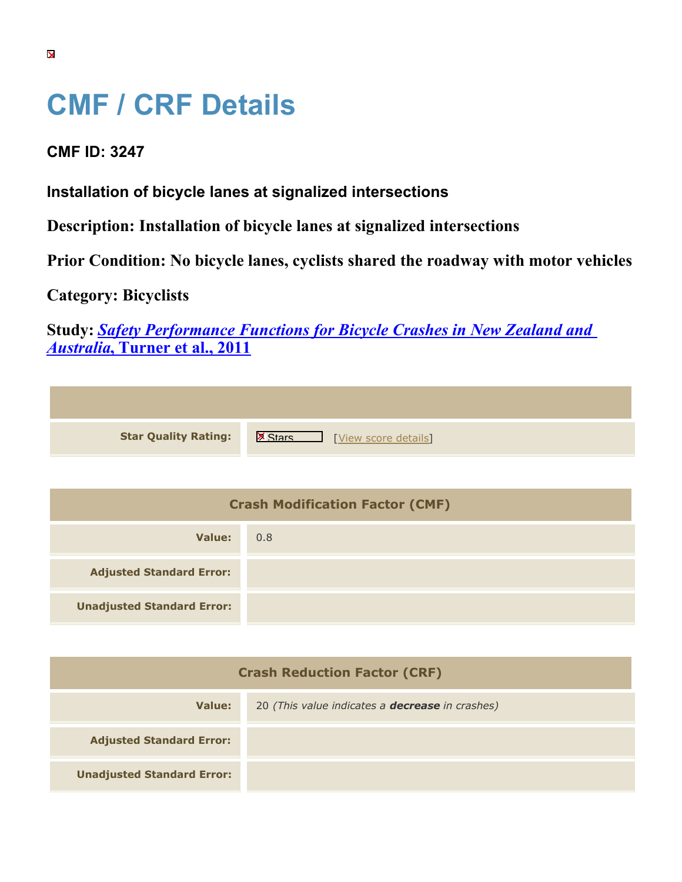## **CMF / CRF Details**

## **CMF ID: 3247**

**Installation of bicycle lanes at signalized intersections**

**Description: Installation of bicycle lanes at signalized intersections**

**Prior Condition: No bicycle lanes, cyclists shared the roadway with motor vehicles**

**Category: Bicyclists**

**Study:** *[Safety Performance Functions for Bicycle Crashes in New Zealand and](https://cmfclearinghouse.org/study_detail.cfm?stid=230) [Australia](https://cmfclearinghouse.org/study_detail.cfm?stid=230)***[, Turner et al., 2011](https://cmfclearinghouse.org/study_detail.cfm?stid=230)**

| <b>Star Quality Rating:</b> | <b>X</b><br>[View score details] |
|-----------------------------|----------------------------------|

| <b>Crash Modification Factor (CMF)</b> |     |
|----------------------------------------|-----|
| Value:                                 | 0.8 |
| <b>Adjusted Standard Error:</b>        |     |
| <b>Unadjusted Standard Error:</b>      |     |

| <b>Crash Reduction Factor (CRF)</b> |                                                        |
|-------------------------------------|--------------------------------------------------------|
| Value:                              | 20 (This value indicates a <b>decrease</b> in crashes) |
| <b>Adjusted Standard Error:</b>     |                                                        |
| <b>Unadjusted Standard Error:</b>   |                                                        |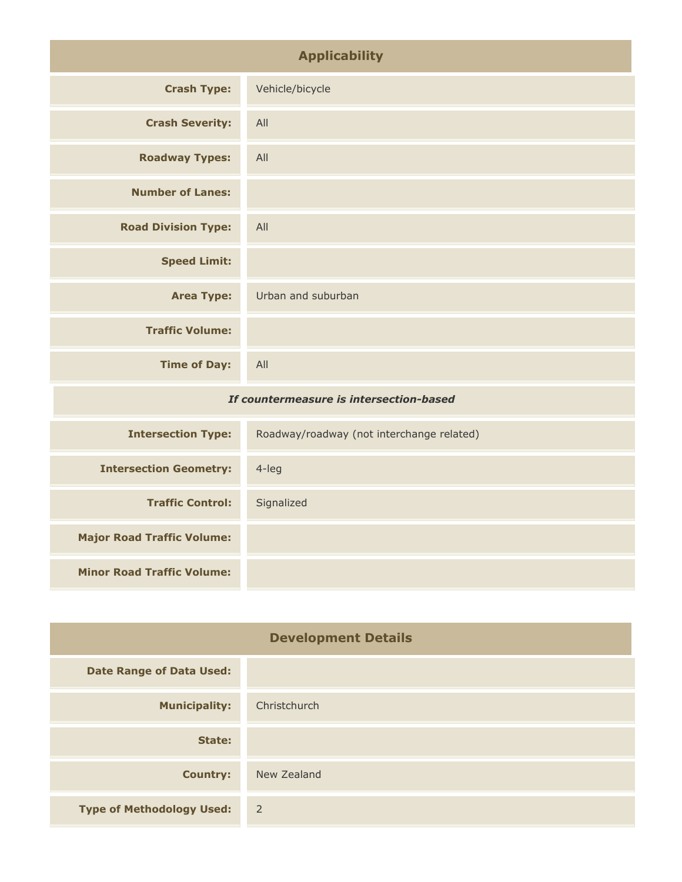| <b>Applicability</b>                    |                                           |
|-----------------------------------------|-------------------------------------------|
| <b>Crash Type:</b>                      | Vehicle/bicycle                           |
| <b>Crash Severity:</b>                  | All                                       |
| <b>Roadway Types:</b>                   | All                                       |
| <b>Number of Lanes:</b>                 |                                           |
| <b>Road Division Type:</b>              | All                                       |
| <b>Speed Limit:</b>                     |                                           |
| <b>Area Type:</b>                       | Urban and suburban                        |
| <b>Traffic Volume:</b>                  |                                           |
| <b>Time of Day:</b>                     | All                                       |
| If countermeasure is intersection-based |                                           |
| <b>Intersection Type:</b>               | Roadway/roadway (not interchange related) |
| <b>Intersection Geometry:</b>           | 4-leg                                     |
| <b>Traffic Control:</b>                 | Signalized                                |

| <b>Development Details</b>       |                |
|----------------------------------|----------------|
| <b>Date Range of Data Used:</b>  |                |
| <b>Municipality:</b>             | Christchurch   |
| State:                           |                |
| <b>Country:</b>                  | New Zealand    |
| <b>Type of Methodology Used:</b> | $\overline{2}$ |

**Major Road Traffic Volume:**

**Minor Road Traffic Volume:**